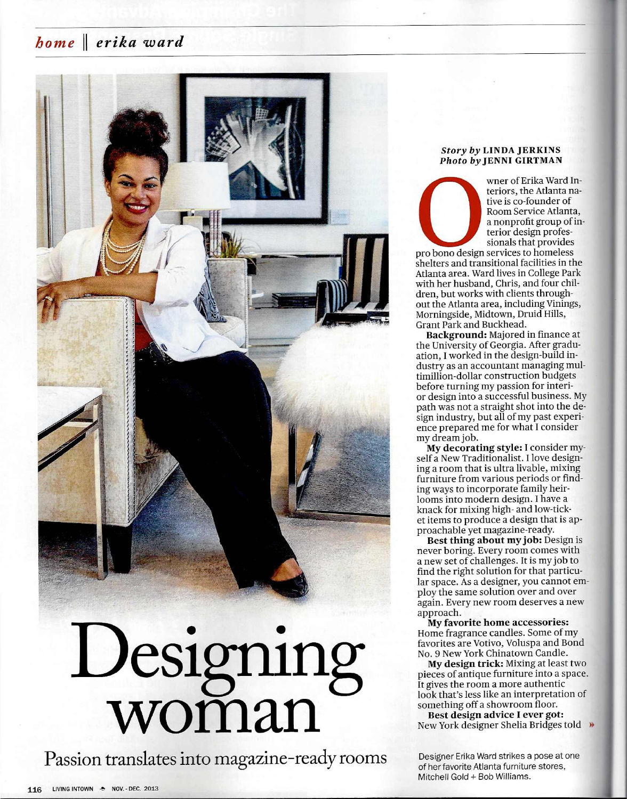## *home* II *erika ward*



Passion translates into magazine-ready rooms

#### 116 LIVING INTOWN - NOV. - DEC. 2013

#### *Story by* LINDA JERKINS *Photo by* JENNI GIRTMAN

wner of Erika Ward Interiors, the Atlanta native is co-founder of Room Service Atlanta, a nonprofit group of interior design professionals that provides

pro bono design services to homeless shelters and transitional facilities in the Atlanta area. Ward lives in College Park with her husband, Chris, and four children, but works with clients throughout the Atlanta area, including Vinings, Morningside, Midtown, Druid Hills, Grant Park and Buckhead.

Background: Majored in finance at the University of Georgia. After graduation, I worked in the design-build industry as an accountant managing multimillion-dollar construction budgets before turning my passion for interior design into a successful business. My path was not a straight shot into the design industry, but all of my past experience prepared me for what I consider my dream job.

My decorating style: I consider myself a New Traditionalist. I love designing a room that is ultra livable, mixing furniture from various periods or finding ways to incorporate family heirlooms into modern design. I have a knack for mixing high- and low-ticket items to produce a design that is approachable yet magazine-ready.

Best thing about my job: Design is never boring. Every room comes with a new set of challenges. It is my job to find the right solution for that particular space. As a designer, you cannot employ the same solution over and over again. Every new room deserves a new approach.

My favorite home accessories: Home fragrance candles. Some of my favorites are Votivo, Voluspa and Bond No.9 New York Chinatown Candle.

My design trick: Mixing at least two pieces of antique furniture into a space. It gives the room a more authentic look that's less like an interpretation of something off a showroom floor.

Best design advice I ever got: New York designer Shelia Bridges told

Designer Erika Ward strikes a pose at one of her favorite Atlanta furniture stores, Mitchell Gold + Bob Williams.